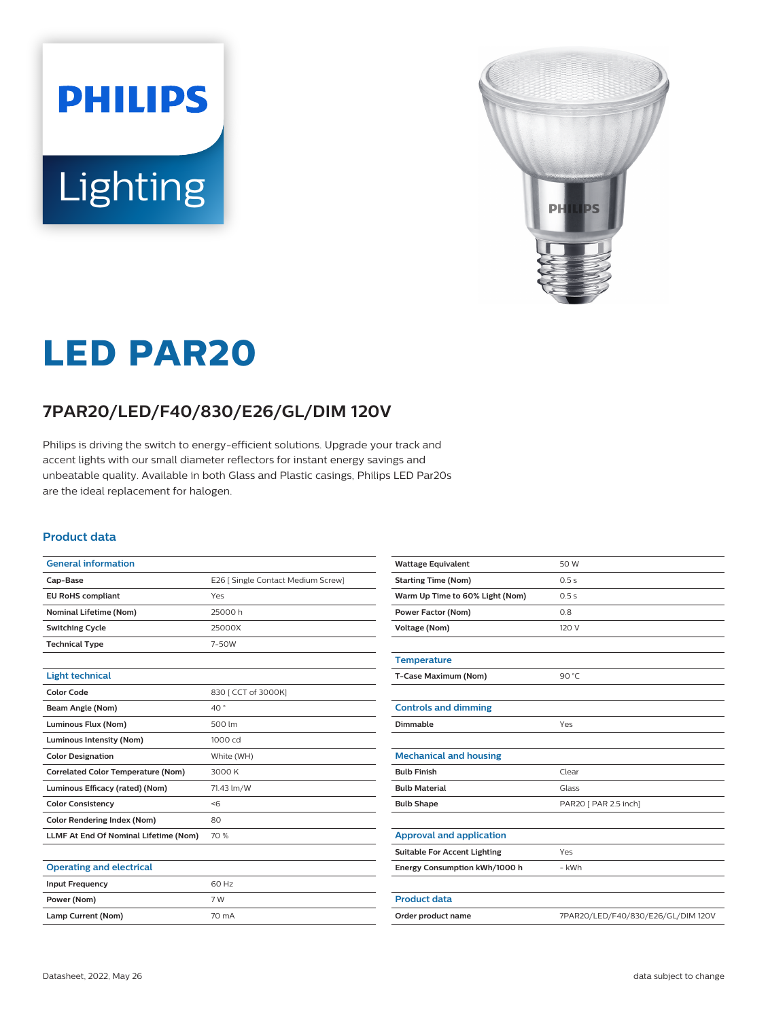# **PHILIPS** Lighting



# **LED PAR20**

# **7PAR20/LED/F40/830/E26/GL/DIM 120V**

Philips is driving the switch to energy-efficient solutions. Upgrade your track and accent lights with our small diameter reflectors for instant energy savings and unbeatable quality. Available in both Glass and Plastic casings, Philips LED Par20s are the ideal replacement for halogen.

#### **Product data**

| <b>General information</b>                |                                    |  |
|-------------------------------------------|------------------------------------|--|
| Cap-Base                                  | E26   Single Contact Medium Screw] |  |
| <b>EU RoHS compliant</b>                  | Yes                                |  |
| <b>Nominal Lifetime (Nom)</b>             | 25000 h                            |  |
| <b>Switching Cycle</b>                    | 25000X                             |  |
| <b>Technical Type</b>                     | 7-50W                              |  |
|                                           |                                    |  |
| <b>Light technical</b>                    |                                    |  |
| <b>Color Code</b>                         | 830   CCT of 3000K]                |  |
| <b>Beam Angle (Nom)</b>                   | 40°                                |  |
| Luminous Flux (Nom)                       | 500 lm                             |  |
| <b>Luminous Intensity (Nom)</b>           | 1000 cd                            |  |
| <b>Color Designation</b>                  | White (WH)                         |  |
| <b>Correlated Color Temperature (Nom)</b> | 3000 K                             |  |
| Luminous Efficacy (rated) (Nom)           | 71.43 lm/W                         |  |
| <b>Color Consistency</b>                  | <                                  |  |
| <b>Color Rendering Index (Nom)</b>        | 80                                 |  |
| LLMF At End Of Nominal Lifetime (Nom)     | 70 %                               |  |
|                                           |                                    |  |
| <b>Operating and electrical</b>           |                                    |  |
| <b>Input Frequency</b>                    | 60 Hz                              |  |
|                                           |                                    |  |

| <b>Wattage Equivalent</b>           | 50 W                               |
|-------------------------------------|------------------------------------|
| <b>Starting Time (Nom)</b>          | 0.5s                               |
| Warm Up Time to 60% Light (Nom)     | 0.5s                               |
| <b>Power Factor (Nom)</b>           | 0.8                                |
| <b>Voltage (Nom)</b>                | 120 V                              |
|                                     |                                    |
| <b>Temperature</b>                  |                                    |
| T-Case Maximum (Nom)                | 90 $°C$                            |
|                                     |                                    |
| <b>Controls and dimming</b>         |                                    |
| Dimmable                            | Yes                                |
|                                     |                                    |
| <b>Mechanical and housing</b>       |                                    |
| <b>Bulb Finish</b>                  | Clear                              |
| <b>Bulb Material</b>                | Glass                              |
| <b>Bulb Shape</b>                   | PAR20   PAR 2.5 inch]              |
|                                     |                                    |
| <b>Approval and application</b>     |                                    |
| <b>Suitable For Accent Lighting</b> | Yes                                |
| Energy Consumption kWh/1000 h       | - kWh                              |
|                                     |                                    |
| <b>Product data</b>                 |                                    |
| Order product name                  | 7PAR20/LED/F40/830/E26/GL/DIM 120V |

**Power (Nom)** 7 W Lamp Current (Nom) 70 mA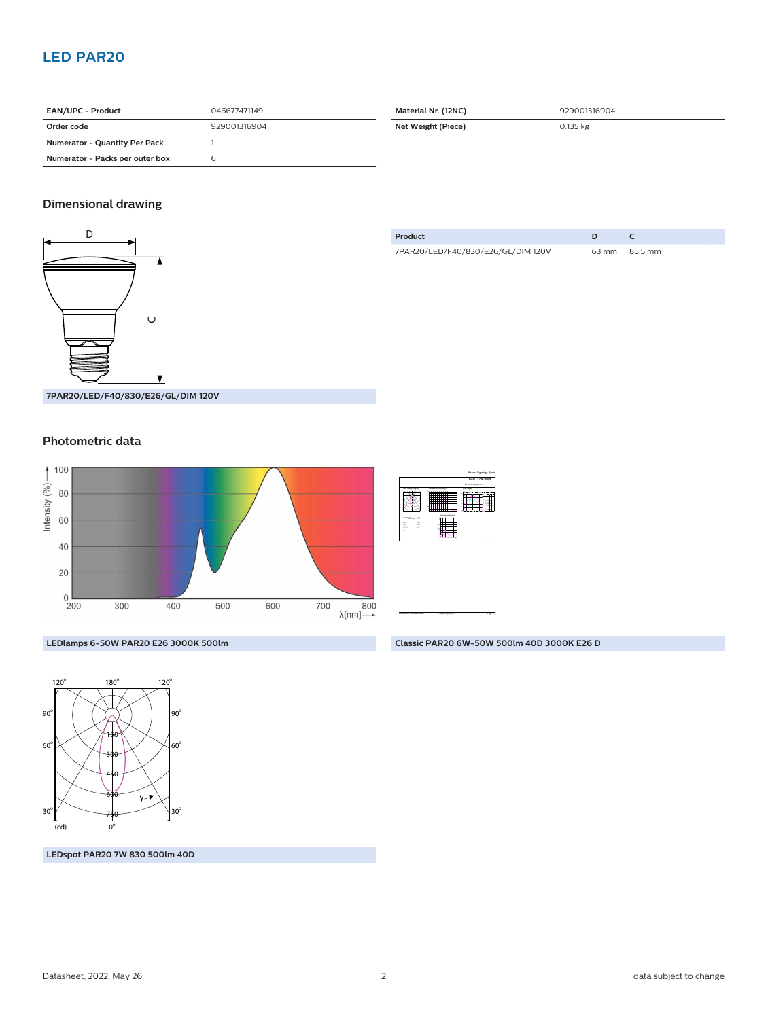# **LED PAR20**

| <b>EAN/UPC - Product</b>             | 046677471149 |  |
|--------------------------------------|--------------|--|
| Order code                           | 929001316904 |  |
| <b>Numerator - Quantity Per Pack</b> |              |  |
| Numerator - Packs per outer box      |              |  |

| Material Nr. (12NC) | 929001316904 |  |
|---------------------|--------------|--|
| Net Weight (Piece)  | $0.135$ kg   |  |

### **Dimensional drawing**



**Product D C** 7PAR20/LED/F40/830/E26/GL/DIM 120V 63 mm 85.5 mm

**7PAR20/LED/F40/830/E26/GL/DIM 120V**

#### **Photometric data**



|                                                                                 |                                          | Par 20 1 x 7 m/ / 1000K                            |
|---------------------------------------------------------------------------------|------------------------------------------|----------------------------------------------------|
|                                                                                 |                                          | 1 x 500 to 100000 km                               |
| <b><i>Installo Barram</i></b>                                                   | Currente improve durant<br>×<br>--       | <b>Basic degrees</b><br><b>SCHOOL COMPANY</b><br>- |
| <b>Manager</b><br>bores, 19<br><b>COL</b><br>÷<br><b>Seller</b><br>Ēх<br>в<br>m | Your man darws<br><b>By the air back</b> | <b>MONEY</b>                                       |

CalcuLuX Photometrics 4.5 Philips Lighting B.V. Page: 1/1

Accent Lighting - Spots

**Classic PAR20 6W-50W 500lm 40D 3000K E26 D**

**LEDlamps 6-50W PAR20 E26 3000K 500lm**



**LEDspot PAR20 7W 830 500lm 40D**

Datasheet, 2022, May 26 2 data subject to change